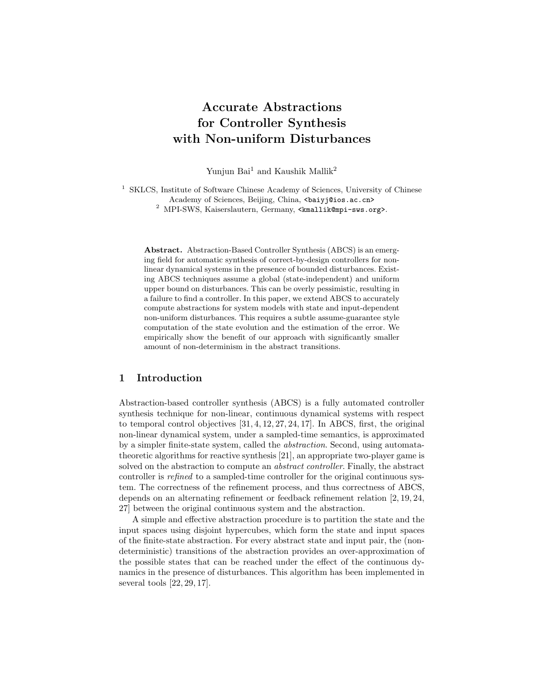# Accurate Abstractions for Controller Synthesis with Non-uniform Disturbances

Yunjun Bai<sup>1</sup> and Kaushik Mallik<sup>2</sup>

<sup>1</sup> SKLCS, Institute of Software Chinese Academy of Sciences, University of Chinese Academy of Sciences, Beijing, China, <br/>baiyj@ios.ac.cn>

 $^2$  MPI-SWS, Kaiserslautern, Germany, <kmallik@mpi-sws.org>.

Abstract. Abstraction-Based Controller Synthesis (ABCS) is an emerging field for automatic synthesis of correct-by-design controllers for nonlinear dynamical systems in the presence of bounded disturbances. Existing ABCS techniques assume a global (state-independent) and uniform upper bound on disturbances. This can be overly pessimistic, resulting in a failure to find a controller. In this paper, we extend ABCS to accurately compute abstractions for system models with state and input-dependent non-uniform disturbances. This requires a subtle assume-guarantee style computation of the state evolution and the estimation of the error. We empirically show the benefit of our approach with significantly smaller amount of non-determinism in the abstract transitions.

# 1 Introduction

Abstraction-based controller synthesis (ABCS) is a fully automated controller synthesis technique for non-linear, continuous dynamical systems with respect to temporal control objectives [31, 4, 12, 27, 24, 17]. In ABCS, first, the original non-linear dynamical system, under a sampled-time semantics, is approximated by a simpler finite-state system, called the abstraction. Second, using automatatheoretic algorithms for reactive synthesis [21], an appropriate two-player game is solved on the abstraction to compute an abstract controller. Finally, the abstract controller is refined to a sampled-time controller for the original continuous system. The correctness of the refinement process, and thus correctness of ABCS, depends on an alternating refinement or feedback refinement relation [2, 19, 24, 27] between the original continuous system and the abstraction.

A simple and effective abstraction procedure is to partition the state and the input spaces using disjoint hypercubes, which form the state and input spaces of the finite-state abstraction. For every abstract state and input pair, the (nondeterministic) transitions of the abstraction provides an over-approximation of the possible states that can be reached under the effect of the continuous dynamics in the presence of disturbances. This algorithm has been implemented in several tools [22, 29, 17].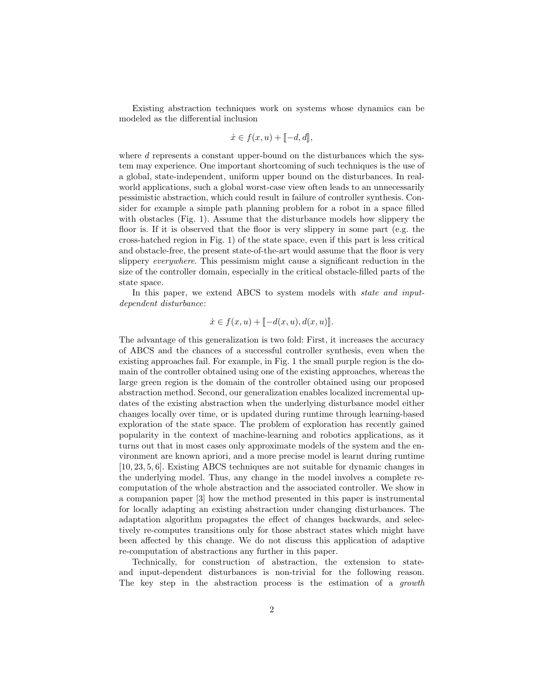Existing abstraction techniques work on systems whose dynamics can be modeled as the differential inclusion

$$
\dot{x} \in f(x, u) + [[-d, d]],
$$

where d represents a constant upper-bound on the disturbances which the system may experience. One important shortcoming of such techniques is the use of a global, state-independent, uniform upper bound on the disturbances. In realworld applications, such a global worst-case view often leads to an unnecessarily pessimistic abstraction, which could result in failure of controller synthesis. Consider for example a simple path planning problem for a robot in a space filled with obstacles (Fig. 1). Assume that the disturbance models how slippery the floor is. If it is observed that the floor is very slippery in some part (e.g. the cross-hatched region in Fig. 1) of the state space, even if this part is less critical and obstacle-free, the present state-of-the-art would assume that the floor is very slippery everywhere. This pessimism might cause a significant reduction in the size of the controller domain, especially in the critical obstacle-filled parts of the state space.

In this paper, we extend ABCS to system models with *state and input*dependent disturbance:

$$
\dot{x} \in f(x, u) + [-d(x, u), d(x, u)].
$$

The advantage of this generalization is two fold: First, it increases the accuracy of ABCS and the chances of a successful controller synthesis, even when the existing approaches fail. For example, in Fig. 1 the small purple region is the domain of the controller obtained using one of the existing approaches, whereas the large green region is the domain of the controller obtained using our proposed abstraction method. Second, our generalization enables localized incremental updates of the existing abstraction when the underlying disturbance model either changes locally over time, or is updated during runtime through learning-based exploration of the state space. The problem of exploration has recently gained popularity in the context of machine-learning and robotics applications, as it turns out that in most cases only approximate models of the system and the environment are known apriori, and a more precise model is learnt during runtime [10, 23, 5, 6]. Existing ABCS techniques are not suitable for dynamic changes in the underlying model. Thus, any change in the model involves a complete recomputation of the whole abstraction and the associated controller. We show in a companion paper [3] how the method presented in this paper is instrumental for locally adapting an existing abstraction under changing disturbances. The adaptation algorithm propagates the effect of changes backwards, and selectively re-computes transitions only for those abstract states which might have been affected by this change. We do not discuss this application of adaptive re-computation of abstractions any further in this paper.

Technically, for construction of abstraction, the extension to stateand input-dependent disturbances is non-trivial for the following reason. The key step in the abstraction process is the estimation of a *growth*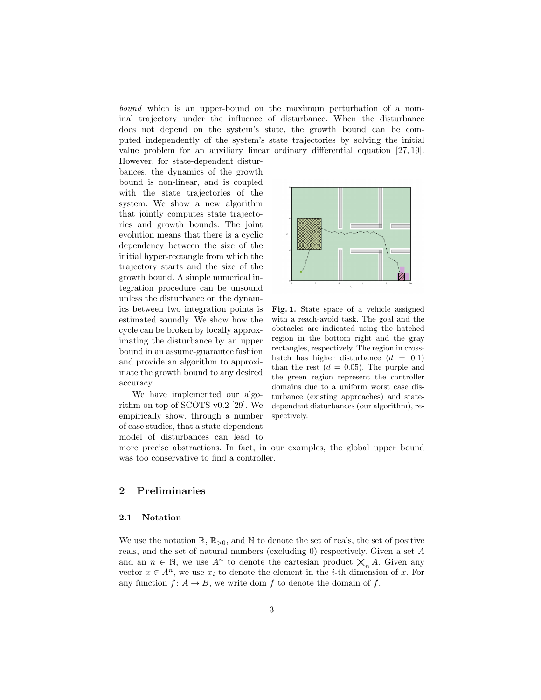bound which is an upper-bound on the maximum perturbation of a nominal trajectory under the influence of disturbance. When the disturbance does not depend on the system's state, the growth bound can be computed independently of the system's state trajectories by solving the initial value problem for an auxiliary linear ordinary differential equation [27, 19].

However, for state-dependent disturbances, the dynamics of the growth bound is non-linear, and is coupled with the state trajectories of the system. We show a new algorithm that jointly computes state trajectories and growth bounds. The joint evolution means that there is a cyclic dependency between the size of the initial hyper-rectangle from which the trajectory starts and the size of the growth bound. A simple numerical integration procedure can be unsound unless the disturbance on the dynamics between two integration points is estimated soundly. We show how the cycle can be broken by locally approximating the disturbance by an upper bound in an assume-guarantee fashion and provide an algorithm to approximate the growth bound to any desired accuracy.

We have implemented our algorithm on top of SCOTS v0.2 [29]. We empirically show, through a number of case studies, that a state-dependent model of disturbances can lead to



Fig. 1. State space of a vehicle assigned with a reach-avoid task. The goal and the obstacles are indicated using the hatched region in the bottom right and the gray rectangles, respectively. The region in crosshatch has higher disturbance  $(d = 0.1)$ than the rest  $(d = 0.05)$ . The purple and the green region represent the controller domains due to a uniform worst case disturbance (existing approaches) and statedependent disturbances (our algorithm), respectively.

more precise abstractions. In fact, in our examples, the global upper bound was too conservative to find a controller.

# 2 Preliminaries

### 2.1 Notation

We use the notation  $\mathbb{R}, \mathbb{R}_{>0}$ , and  $\mathbb{N}$  to denote the set of reals, the set of positive reals, and the set of natural numbers (excluding 0) respectively. Given a set A and an  $n \in \mathbb{N}$ , we use  $A^n$  to denote the cartesian product  $X_n A$ . Given any vector  $x \in A^n$ , we use  $x_i$  to denote the element in the *i*-th dimension of x. For any function  $f: A \to B$ , we write dom f to denote the domain of f.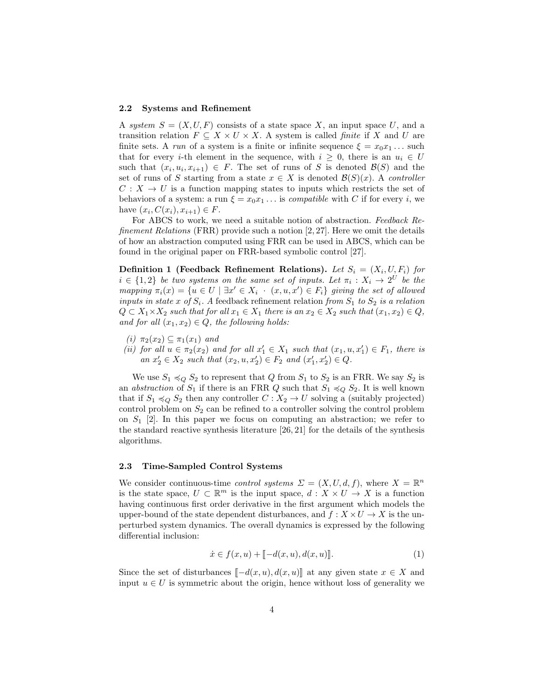#### 2.2 Systems and Refinement

A system  $S = (X, U, F)$  consists of a state space X, an input space U, and a transition relation  $F \subseteq X \times U \times X$ . A system is called *finite* if X and U are finite sets. A run of a system is a finite or infinite sequence  $\xi = x_0 x_1 ...$  such that for every *i*-th element in the sequence, with  $i \geq 0$ , there is an  $u_i \in U$ such that  $(x_i, u_i, x_{i+1}) \in F$ . The set of runs of S is denoted  $\mathcal{B}(S)$  and the set of runs of S starting from a state  $x \in X$  is denoted  $\mathcal{B}(S)(x)$ . A *controller*  $C: X \to U$  is a function mapping states to inputs which restricts the set of behaviors of a system: a run  $\xi = x_0 x_1 \dots$  is *compatible* with C if for every *i*, we have  $(x_i, C(x_i), x_{i+1}) \in F$ .

For ABCS to work, we need a suitable notion of abstraction. Feedback Refinement Relations (FRR) provide such a notion  $[2, 27]$ . Here we omit the details of how an abstraction computed using FRR can be used in ABCS, which can be found in the original paper on FRR-based symbolic control [27].

**Definition 1 (Feedback Refinement Relations).** Let  $S_i = (X_i, U, F_i)$  for  $i \in \{1,2\}$  be two systems on the same set of inputs. Let  $\pi_i : X_i \to 2^U$  be the mapping  $\pi_i(x) = \{u \in U \mid \exists x' \in X_i \mid (x, u, x') \in F_i\}$  giving the set of allowed inputs in state x of  $S_i$ . A feedback refinement relation from  $S_1$  to  $S_2$  is a relation  $Q \subset X_1 \times X_2$  such that for all  $x_1 \in X_1$  there is an  $x_2 \in X_2$  such that  $(x_1, x_2) \in Q$ , and for all  $(x_1, x_2) \in Q$ , the following holds:

- (i)  $\pi_2(x_2) \subseteq \pi_1(x_1)$  and
- (ii) for all  $u \in \pi_2(x_2)$  and for all  $x'_1 \in X_1$  such that  $(x_1, u, x'_1) \in F_1$ , there is an  $x'_2 \in X_2$  such that  $(x_2, u, x'_2) \in F_2$  and  $(x'_1, x'_2) \in Q$ .

We use  $S_1 \preccurlyeq_Q S_2$  to represent that Q from  $S_1$  to  $S_2$  is an FRR. We say  $S_2$  is an *abstraction* of  $S_1$  if there is an FRR Q such that  $S_1 \preccurlyeq_Q S_2$ . It is well known that if  $S_1 \preccurlyeq_Q S_2$  then any controller  $C : X_2 \to U$  solving a (suitably projected) control problem on  $S_2$  can be refined to a controller solving the control problem on  $S_1$  [2]. In this paper we focus on computing an abstraction; we refer to the standard reactive synthesis literature [26, 21] for the details of the synthesis algorithms.

### 2.3 Time-Sampled Control Systems

We consider continuous-time *control systems*  $\Sigma = (X, U, d, f)$ , where  $X = \mathbb{R}^n$ is the state space,  $U \subset \mathbb{R}^m$  is the input space,  $d: X \times U \to X$  is a function having continuous first order derivative in the first argument which models the upper-bound of the state dependent disturbances, and  $f: X \times U \to X$  is the unperturbed system dynamics. The overall dynamics is expressed by the following differential inclusion:

$$
\dot{x} \in f(x, u) + [-d(x, u), d(x, u)].
$$
\n(1)

Since the set of disturbances  $\llbracket -d(x, u), d(x, u) \rrbracket$  at any given state  $x \in X$  and input  $u \in U$  is symmetric about the origin, hence without loss of generality we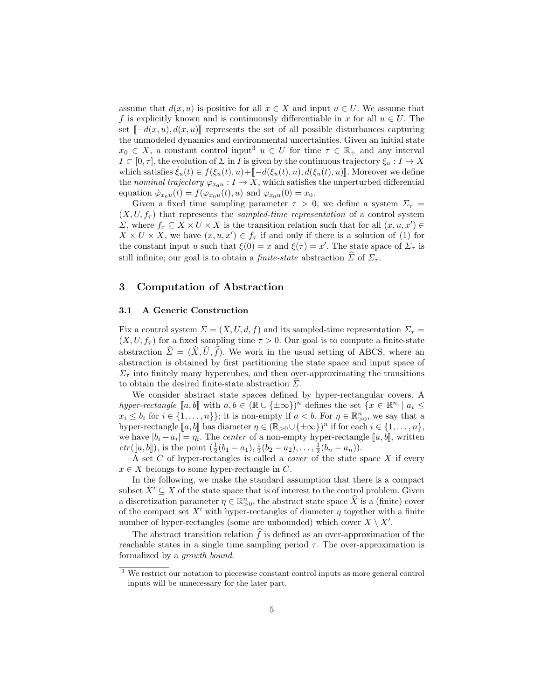assume that  $d(x, u)$  is positive for all  $x \in X$  and input  $u \in U$ . We assume that f is explicitly known and is continuously differentiable in x for all  $u \in U$ . The set  $\llbracket -d(x, u), d(x, u) \rrbracket$  represents the set of all possible disturbances capturing the unmodeled dynamics and environmental uncertainties. Given an initial state  $x_0 \in X$ , a constant control input<sup>3</sup>  $u \in U$  for time  $\tau \in \mathbb{R}_+$  and any interval  $I \subset [0, \tau]$ , the evolution of  $\Sigma$  in I is given by the continuous trajectory  $\xi_u : I \to X$ which satisfies  $\dot{\xi}_u(t) \in f(\xi_u(t), u) + \llbracket -d(\xi_u(t), u), d(\xi_u(t), u) \rrbracket$ . Moreover we define the nominal trajectory  $\varphi_{x_0u}: I \to X$ , which satisfies the unperturbed differential equation  $\dot{\varphi}_{x_0u}(t) = f(\varphi_{x_0u}(t), u)$  and  $\varphi_{x_0u}(0) = x_0$ .

Given a fixed time sampling parameter  $\tau > 0$ , we define a system  $\Sigma_{\tau} =$  $(X, U, f_\tau)$  that represents the sampled-time representation of a control system  $Σ$ , where  $f_\tau ⊆ X \times U \times X$  is the transition relation such that for all  $(x, u, x') ∈$  $X \times U \times X$ , we have  $(x, u, x') \in f_{\tau}$  if and only if there is a solution of (1) for the constant input u such that  $\xi(0) = x$  and  $\xi(\tau) = x'$ . The state space of  $\Sigma_{\tau}$  is still infinite; our goal is to obtain a *finite-state* abstraction  $\widehat{\Sigma}$  of  $\Sigma_{\tau}$ .

# 3 Computation of Abstraction

### 3.1 A Generic Construction

Fix a control system  $\Sigma = (X, U, d, f)$  and its sampled-time representation  $\Sigma_{\tau} =$  $(X, U, f_\tau)$  for a fixed sampling time  $\tau > 0$ . Our goal is to compute a finite-state abstraction  $\hat{\Sigma} = (\hat{X}, \hat{U}, \hat{f})$ . We work in the usual setting of ABCS, where an abstraction is obtained by first partitioning the state space and input space of  $\Sigma_{\tau}$  into finitely many hypercubes, and then over-approximating the transitions to obtain the desired finite-state abstraction  $\Sigma$ .

We consider abstract state spaces defined by hyper-rectangular covers. A hyper-rectangle  $[a, b]$  with  $a, b \in (\mathbb{R} \cup {\pm \infty})^n$  defines the set  $\{x \in \mathbb{R}^n \mid a_i \leq x \leq b\}$  for  $i \in \{1, \dots, n\}$ , it is non empty if  $a \leq b$ . For  $n \in \mathbb{R}^n$ , we say that a  $x_i \leq b_i$  for  $i \in \{1, ..., n\}$ ; it is non-empty if  $a < b$ . For  $\eta \in \mathbb{R}_{>0}^n$ , we say that a hyper-rectangle  $[a, b]$  has diameter  $\eta \in (\mathbb{R}_{>0} \cup {\{\pm \infty\}})^n$  if for each  $i \in \{1, \ldots, n\}$ , we have  $|b_i - a_i| = \eta_i$ . The center of a non-empty hyper-rectangle  $[[a, b]]$ , written<br> $\det([\![a, b]\!])$  is the point  $(\begin{matrix} 1 & b \\ c & a \end{matrix})^{-1}$   $(\begin{matrix} b & a \\ c & a \end{matrix})^{-1}$  $ctr([a, b]),$  is the point  $(\frac{1}{2}(b_1 - a_1), \frac{1}{2}(b_2 - a_2), \ldots, \frac{1}{2}(b_n - a_n)).$ <br>A set C of hyper rectangles is called a secure of the state s

A set  $C$  of hyper-rectangles is called a *cover* of the state space  $X$  if every  $x \in X$  belongs to some hyper-rectangle in C.

In the following, we make the standard assumption that there is a compact subset  $X' \subseteq X$  of the state space that is of interest to the control problem. Given a discretization parameter  $\eta \in \mathbb{R}_{>0}^n$ , the abstract state space  $\hat{X}$  is a (finite) cover of the compact set  $X'$  with hyper-rectangles of diameter  $\eta$  together with a finite number of hyper-rectangles (some are unbounded) which cover  $X \setminus X'$ .

The abstract transition relation  $\hat{f}$  is defined as an over-approximation of the reachable states in a single time sampling period  $\tau$ . The over-approximation is formalized by a growth bound.

<sup>3</sup> We restrict our notation to piecewise constant control inputs as more general control inputs will be unnecessary for the later part.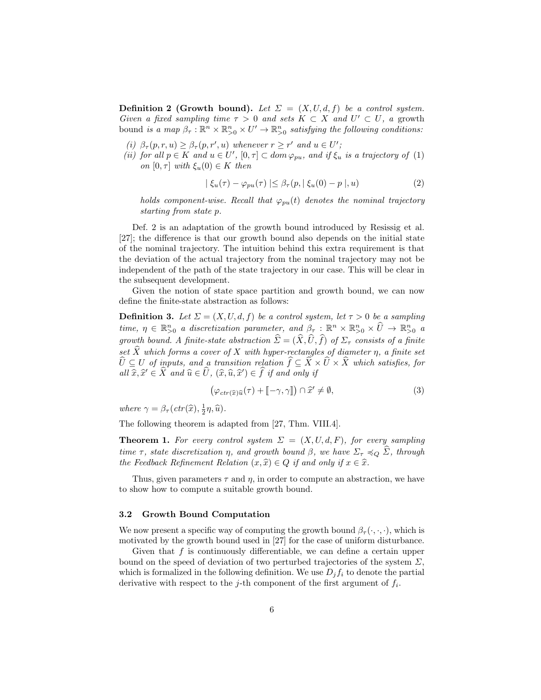**Definition 2 (Growth bound).** Let  $\Sigma = (X, U, d, f)$  be a control system. Given a fixed sampling time  $\tau > 0$  and sets  $K \subset X$  and  $U' \subset U$ , a growth bound is a map  $\beta_{\tau}: \mathbb{R}^n \times \mathbb{R}_{>0}^n \times U' \to \mathbb{R}_{>0}^n$  satisfying the following conditions:

- (i)  $\beta_{\tau}(p,r,u) \geq \beta_{\tau}(p,r',u)$  whenever  $r \geq r'$  and  $u \in U'$ ;
- (ii) for all  $p \in K$  and  $u \in U'$ ,  $[0, \tau] \subset dom \varphi_{pu}$ , and if  $\xi_u$  is a trajectory of (1) on  $[0, \tau]$  with  $\xi_u(0) \in K$  then

$$
|\xi_u(\tau) - \varphi_{pu}(\tau)| \leq \beta_{\tau}(p, |\xi_u(0) - p|, u)
$$
\n(2)

holds component-wise. Recall that  $\varphi_{pu}(t)$  denotes the nominal trajectory starting from state p.

Def. 2 is an adaptation of the growth bound introduced by Resissig et al. [27]; the difference is that our growth bound also depends on the initial state of the nominal trajectory. The intuition behind this extra requirement is that the deviation of the actual trajectory from the nominal trajectory may not be independent of the path of the state trajectory in our case. This will be clear in the subsequent development.

Given the notion of state space partition and growth bound, we can now define the finite-state abstraction as follows:

**Definition 3.** Let  $\Sigma = (X, U, d, f)$  be a control system, let  $\tau > 0$  be a sampling time,  $\eta \in \mathbb{R}_{>0}^n$  a discretization parameter, and  $\beta_{\tau} : \mathbb{R}^n \times \mathbb{R}_{>0}^n \times \widehat{U} \to \mathbb{R}_{>0}^n$  a growth bound. A finite-state abstraction  $\hat{\Sigma} = (\hat{X}, \hat{U}, \hat{f})$  of  $\Sigma_{\tau}$  consists of a finite set X which forms a cover of X with hyper-rectangles of diameter  $\eta$ , a finite set  $U \subseteq U$  of inputs, and a transition relation  $f \subseteq X \times U \times X$  which satisfies, for all  $\widehat{x}, \widehat{x}' \in \widehat{X}$  and  $\widehat{u} \in \widehat{U}$ ,  $(\widehat{x}, \widehat{u}, \widehat{x}') \in \widehat{f}$  if and only if

$$
\left(\varphi_{\operatorname{ctr}(\widehat{x})\widehat{u}}(\tau) + \left[ -\gamma, \gamma \right] \right) \cap \widehat{x}' \neq \emptyset, \tag{3}
$$

where  $\gamma = \beta_\tau(\text{ctr}(\widehat{x}), \frac{1}{2}\eta, \widehat{u}).$ 

The following theorem is adapted from [27, Thm. VIII.4].

**Theorem 1.** For every control system  $\Sigma = (X, U, d, F)$ , for every sampling time τ, state discretization η, and growth bound β, we have  $\Sigma_{\tau} \preccurlyeq_{Q} \widehat{\Sigma}$ , through the Feedback Refinement Relation  $(x, \hat{x}) \in Q$  if and only if  $x \in \hat{x}$ .

Thus, given parameters  $\tau$  and  $\eta$ , in order to compute an abstraction, we have to show how to compute a suitable growth bound.

### 3.2 Growth Bound Computation

We now present a specific way of computing the growth bound  $\beta_{\tau}(\cdot,\cdot,\cdot)$ , which is motivated by the growth bound used in [27] for the case of uniform disturbance.

Given that  $f$  is continuously differentiable, we can define a certain upper bound on the speed of deviation of two perturbed trajectories of the system  $\Sigma$ , which is formalized in the following definition. We use  $D_j f_i$  to denote the partial derivative with respect to the j-th component of the first argument of  $f_i$ .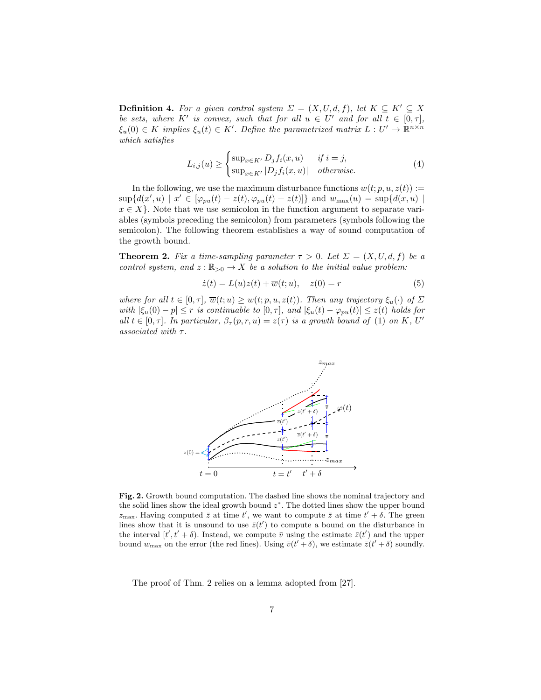**Definition 4.** For a given control system  $\Sigma = (X, U, d, f)$ , let  $K \subseteq K' \subseteq X$ be sets, where K' is convex, such that for all  $u \in U'$  and for all  $t \in [0, \tau]$ ,  $\xi_u(0) \in K$  implies  $\xi_u(t) \in K'$ . Define the parametrized matrix  $L: U' \to \mathbb{R}^{n \times n}$ which satisfies

$$
L_{i,j}(u) \ge \begin{cases} \sup_{x \in K'} D_j f_i(x, u) & \text{if } i = j, \\ \sup_{x \in K'} |D_j f_i(x, u)| & \text{otherwise.} \end{cases} \tag{4}
$$

In the following, we use the maximum disturbance functions  $w(t; p, u, z(t)) :=$  $\sup\{d(x',u) \mid x' \in [\varphi_{pu}(t) - z(t), \varphi_{pu}(t) + z(t)]\}$  and  $w_{\max}(u) = \sup\{d(x,u) \mid u \in [0, T] \}$  $x \in X$ . Note that we use semicolon in the function argument to separate variables (symbols preceding the semicolon) from parameters (symbols following the semicolon). The following theorem establishes a way of sound computation of the growth bound.

**Theorem 2.** Fix a time-sampling parameter  $\tau > 0$ . Let  $\Sigma = (X, U, d, f)$  be a control system, and  $z : \mathbb{R}_{>0} \to X$  be a solution to the initial value problem:

$$
\dot{z}(t) = L(u)z(t) + \overline{w}(t;u), \quad z(0) = r \tag{5}
$$

where for all  $t \in [0, \tau]$ ,  $\overline{w}(t; u) \geq w(t; p, u, z(t))$ . Then any trajectory  $\xi_u(\cdot)$  of  $\Sigma$ with  $|\xi_u(0)-p| \leq r$  is continuable to  $[0, \tau]$ , and  $|\xi_u(t)-\varphi_{pu}(t)| \leq z(t)$  holds for all  $t \in [0, \tau]$ . In particular,  $\beta_{\tau}(p, r, u) = z(\tau)$  is a growth bound of (1) on K, U' associated with  $\tau$ .



Fig. 2. Growth bound computation. The dashed line shows the nominal trajectory and the solid lines show the ideal growth bound  $z^*$ . The dotted lines show the upper bound  $z_{\text{max}}$ . Having computed  $\bar{z}$  at time  $t'$ , we want to compute  $\bar{z}$  at time  $t' + \delta$ . The green lines show that it is unsound to use  $\bar{z}(t')$  to compute a bound on the disturbance in the interval  $[t', t' + \delta)$ . Instead, we compute  $\overline{v}$  using the estimate  $\overline{z}(t')$  and the upper bound  $w_{\text{max}}$  on the error (the red lines). Using  $\bar{v}(t' + \delta)$ , we estimate  $\bar{z}(t' + \delta)$  soundly.

The proof of Thm. 2 relies on a lemma adopted from [27].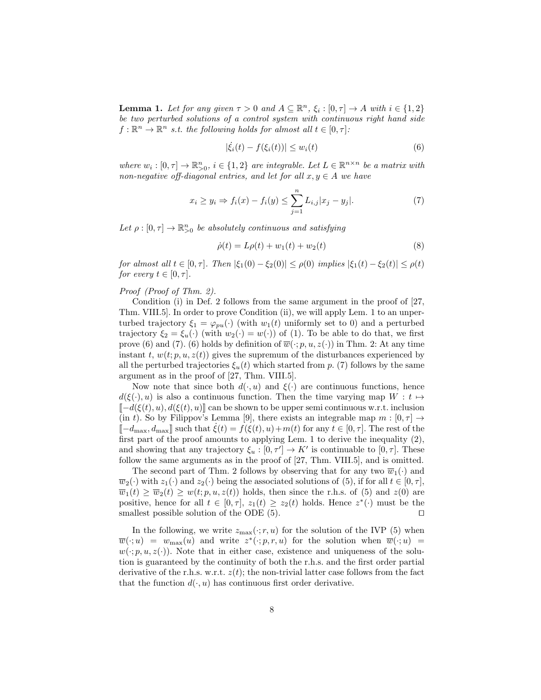**Lemma 1.** Let for any given  $\tau > 0$  and  $A \subseteq \mathbb{R}^n$ ,  $\xi_i : [0, \tau] \to A$  with  $i \in \{1, 2\}$ be two perturbed solutions of a control system with continuous right hand side  $f: \mathbb{R}^n \to \mathbb{R}^n$  s.t. the following holds for almost all  $t \in [0, \tau]$ :

$$
|\dot{\xi}_i(t) - f(\xi_i(t))| \le w_i(t)
$$
\n<sup>(6)</sup>

where  $w_i : [0, \tau] \to \mathbb{R}^n_{>0}, i \in \{1, 2\}$  are integrable. Let  $L \in \mathbb{R}^{n \times n}$  be a matrix with non-negative off-diagonal entries, and let for all  $x, y \in A$  we have

$$
x_i \ge y_i \Rightarrow f_i(x) - f_i(y) \le \sum_{j=1}^n L_{i,j} |x_j - y_j|.
$$
 (7)

Let  $\rho : [0, \tau] \to \mathbb{R}^n_{>0}$  be absolutely continuous and satisfying

$$
\dot{\rho}(t) = L\rho(t) + w_1(t) + w_2(t)
$$
\n(8)

for almost all  $t \in [0, \tau]$ . Then  $|\xi_1(0) - \xi_2(0)| \leq \rho(0)$  implies  $|\xi_1(t) - \xi_2(t)| \leq \rho(t)$ for every  $t \in [0, \tau]$ .

### Proof (Proof of Thm. 2).

Condition (i) in Def. 2 follows from the same argument in the proof of [27, Thm. VIII.5]. In order to prove Condition (ii), we will apply Lem. 1 to an unperturbed trajectory  $\xi_1 = \varphi_{pu}(\cdot)$  (with  $w_1(t)$  uniformly set to 0) and a perturbed trajectory  $\xi_2 = \xi_u(\cdot)$  (with  $w_2(\cdot) = w(\cdot)$ ) of (1). To be able to do that, we first prove (6) and (7). (6) holds by definition of  $\overline{w}(\cdot; p, u, z(\cdot))$  in Thm. 2: At any time instant t,  $w(t; p, u, z(t))$  gives the supremum of the disturbances experienced by all the perturbed trajectories  $\xi_u(t)$  which started from p. (7) follows by the same argument as in the proof of [27, Thm. VIII.5].

Now note that since both  $d(\cdot, u)$  and  $\xi(\cdot)$  are continuous functions, hence  $d(\xi(\cdot), u)$  is also a continuous function. Then the time varying map  $W : t \mapsto$  $\llbracket -d(\xi(t), u), d(\xi(t), u) \rrbracket$  can be shown to be upper semi continuous w.r.t. inclusion (in t). So by Filippov's Lemma [9], there exists an integrable map  $m : [0, \tau] \rightarrow$  $\llbracket -d_{\max}, d_{\max} \rrbracket$  such that  $\xi(t) = f(\xi(t), u) + m(t)$  for any  $t \in [0, \tau]$ . The rest of the first part of the proof amounts to applying Lem. 1 to derive the inequality (2), and showing that any trajectory  $\xi_u : [0, \tau'] \to K'$  is continuable to  $[0, \tau]$ . These follow the same arguments as in the proof of [27, Thm. VIII.5], and is omitted.

The second part of Thm. 2 follows by observing that for any two  $\overline{w}_1(\cdot)$  and  $\overline{w}_2(\cdot)$  with  $z_1(\cdot)$  and  $z_2(\cdot)$  being the associated solutions of (5), if for all  $t \in [0, \tau]$ ,  $\overline{w}_1(t) \ge \overline{w}_2(t) \ge w(t; p, u, z(t))$  holds, then since the r.h.s. of (5) and  $z(0)$  are positive, hence for all  $t \in [0, \tau]$ ,  $z_1(t) \geq z_2(t)$  holds. Hence  $z^*(\cdot)$  must be the smallest possible solution of the ODE  $(5)$ .

In the following, we write  $z_{\text{max}}(\cdot; r, u)$  for the solution of the IVP (5) when  $\overline{w}(\cdot;u) = w_{\text{max}}(u)$  and write  $z^*(\cdot; p, r, u)$  for the solution when  $\overline{w}(\cdot; u) =$  $w(\cdot; p, u, z(\cdot))$ . Note that in either case, existence and uniqueness of the solution is guaranteed by the continuity of both the r.h.s. and the first order partial derivative of the r.h.s. w.r.t.  $z(t)$ ; the non-trivial latter case follows from the fact that the function  $d(\cdot, u)$  has continuous first order derivative.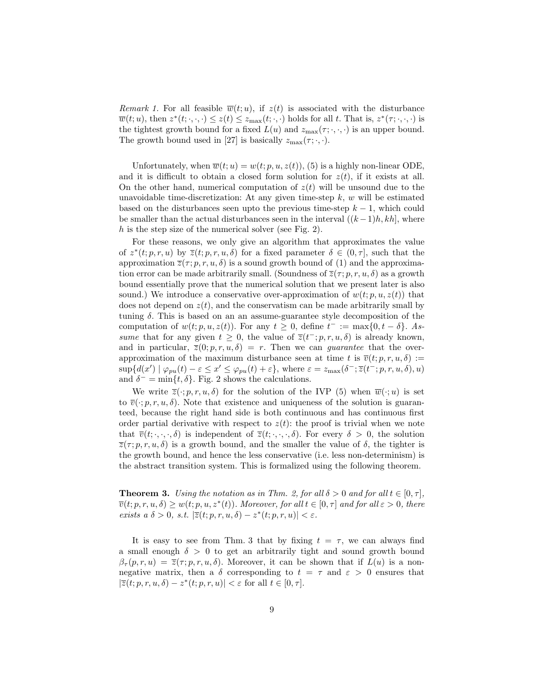Remark 1. For all feasible  $\overline{w}(t; u)$ , if  $z(t)$  is associated with the disturbance  $\overline{w}(t; u)$ , then  $z^*(t; \cdot, \cdot, \cdot) \leq z(t) \leq z_{\text{max}}(t; \cdot, \cdot)$  holds for all t. That is,  $z^*(\tau; \cdot, \cdot, \cdot)$  is the tightest growth bound for a fixed  $L(u)$  and  $z_{\text{max}}(\tau; \cdot, \cdot, \cdot)$  is an upper bound. The growth bound used in [27] is basically  $z_{\text{max}}(\tau; \cdot, \cdot)$ .

Unfortunately, when  $\overline{w}(t; u) = w(t; p, u, z(t))$ , (5) is a highly non-linear ODE, and it is difficult to obtain a closed form solution for  $z(t)$ , if it exists at all. On the other hand, numerical computation of  $z(t)$  will be unsound due to the unavoidable time-discretization: At any given time-step  $k$ , w will be estimated based on the disturbances seen upto the previous time-step  $k - 1$ , which could be smaller than the actual disturbances seen in the interval  $((k-1)h, kh]$ , where h is the step size of the numerical solver (see Fig. 2).

For these reasons, we only give an algorithm that approximates the value of  $z^*(t; p, r, u)$  by  $\overline{z}(t; p, r, u, \delta)$  for a fixed parameter  $\delta \in (0, \tau]$ , such that the approximation  $\overline{z}(\tau;p,r,u,\delta)$  is a sound growth bound of (1) and the approximation error can be made arbitrarily small. (Soundness of  $\overline{z}(\tau;p,r,u,\delta)$  as a growth bound essentially prove that the numerical solution that we present later is also sound.) We introduce a conservative over-approximation of  $w(t; p, u, z(t))$  that does not depend on  $z(t)$ , and the conservatism can be made arbitrarily small by tuning  $\delta$ . This is based on an an assume-guarantee style decomposition of the computation of  $w(t; p, u, z(t))$ . For any  $t \geq 0$ , define  $t^- := \max\{0, t - \delta\}$ . Assume that for any given  $t \geq 0$ , the value of  $\overline{z}(t^-; p, r, u, \delta)$  is already known, and in particular,  $\overline{z}(0; p, r, u, \delta) = r$ . Then we can *quarantee* that the overapproximation of the maximum disturbance seen at time t is  $\overline{v}(t; p, r, u, \delta) :=$  $\sup\{d(x') \mid \varphi_{pu}(t) - \varepsilon \leq x' \leq \varphi_{pu}(t) + \varepsilon\},\$  where  $\varepsilon = z_{\text{max}}(\delta^{-}; \overline{z}(t^{-}; p, r, u, \delta), u)$ and  $\delta^- = \min\{t, \delta\}$ . Fig. 2 shows the calculations.

We write  $\overline{z}(\cdot; p, r, u, \delta)$  for the solution of the IVP (5) when  $\overline{w}(\cdot; u)$  is set to  $\overline{v}(\cdot; p, r, u, \delta)$ . Note that existence and uniqueness of the solution is guaranteed, because the right hand side is both continuous and has continuous first order partial derivative with respect to  $z(t)$ : the proof is trivial when we note that  $\overline{v}(t; \cdot, \cdot, \cdot, \delta)$  is independent of  $\overline{z}(t; \cdot, \cdot, \cdot, \delta)$ . For every  $\delta > 0$ , the solution  $\overline{z}(\tau; p, r, u, \delta)$  is a growth bound, and the smaller the value of  $\delta$ , the tighter is the growth bound, and hence the less conservative (i.e. less non-determinism) is the abstract transition system. This is formalized using the following theorem.

**Theorem 3.** Using the notation as in Thm. 2, for all  $\delta > 0$  and for all  $t \in [0, \tau]$ ,  $\overline{v}(t; p, r, u, \delta) \geq w(t; p, u, z^*(t))$ . Moreover, for all  $t \in [0, \tau]$  and for all  $\varepsilon > 0$ , there exists  $a \delta > 0$ , s.t.  $|\overline{z}(t; p, r, u, \delta) - z^*(t; p, r, u)| < \varepsilon$ .

It is easy to see from Thm. 3 that by fixing  $t = \tau$ , we can always find a small enough  $\delta > 0$  to get an arbitrarily tight and sound growth bound  $\beta_{\tau}(p,r,u) = \overline{z}(\tau;p,r,u,\delta)$ . Moreover, it can be shown that if  $L(u)$  is a nonnegative matrix, then a  $\delta$  corresponding to  $t = \tau$  and  $\varepsilon > 0$  ensures that  $|\overline{z}(t; p, r, u, \delta) - z^*(t; p, r, u)| < \varepsilon$  for all  $t \in [0, \tau]$ .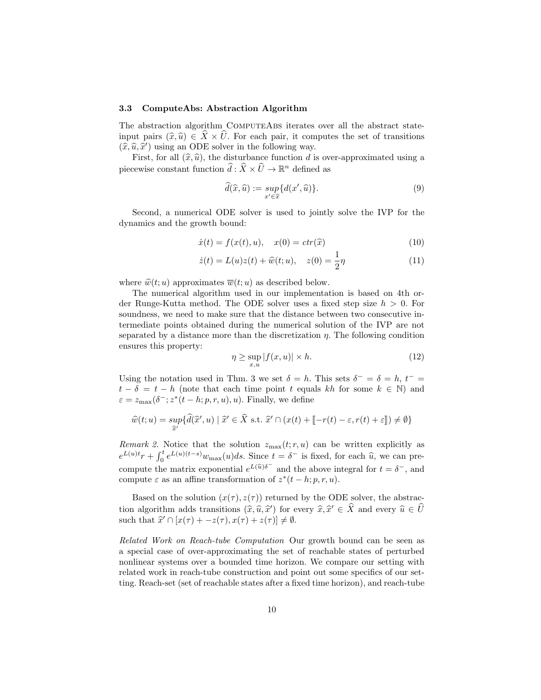#### 3.3 ComputeAbs: Abstraction Algorithm

The abstraction algorithm ComputeAbs iterates over all the abstract stateinput pairs  $(\widehat{x}, \widehat{u}) \in \widehat{X} \times \widehat{U}$ . For each pair, it computes the set of transitions  $(\widehat{x}, \widehat{u}, \widehat{x}')$  using an ODE solver in the following way.<br>First, for all  $(\widehat{x}, \widehat{u})$ , the disturbance function d

First, for all  $(\hat{x}, \hat{u})$ , the disturbance function d is over-approximated using a piecewise constant function  $\widehat{d}: \widehat{X} \times \widehat{U} \to \mathbb{R}^n$  defined as

$$
\widehat{d}(\widehat{x},\widehat{u}) := \sup_{x' \in \widehat{x}} \{d(x',\widehat{u})\}.
$$
\n(9)

Second, a numerical ODE solver is used to jointly solve the IVP for the dynamics and the growth bound:

$$
\dot{x}(t) = f(x(t), u), \quad x(0) = \text{ctr}(\hat{x})
$$
\n<sup>(10)</sup>

$$
\dot{z}(t) = L(u)z(t) + \hat{w}(t;u), \quad z(0) = \frac{1}{2}\eta
$$
\n(11)

where  $\widehat{w}(t; u)$  approximates  $\overline{w}(t; u)$  as described below.

The numerical algorithm used in our implementation is based on 4th order Runge-Kutta method. The ODE solver uses a fixed step size  $h > 0$ . For soundness, we need to make sure that the distance between two consecutive intermediate points obtained during the numerical solution of the IVP are not separated by a distance more than the discretization  $\eta$ . The following condition ensures this property:

$$
\eta \ge \sup_{x,u} |f(x,u)| \times h. \tag{12}
$$

Using the notation used in Thm. 3 we set  $\delta = h$ . This sets  $\delta^- = \delta = h$ ,  $t^- =$  $t - \delta = t - h$  (note that each time point t equals kh for some  $k \in \mathbb{N}$ ) and  $\varepsilon = z_{\text{max}}(\delta^-; z^*(t-h; p, r, u), u)$ . Finally, we define

$$
\widehat{w}(t;u) = \sup_{\widehat{x}'} \{ \widehat{d}(\widehat{x}',u) \mid \widehat{x}' \in \widehat{X} \text{ s.t. } \widehat{x}' \cap (x(t) + \llbracket -r(t) - \varepsilon, r(t) + \varepsilon \rrbracket) \neq \emptyset \}
$$

Remark 2. Notice that the solution  $z_{\text{max}}(t; r, u)$  can be written explicitly as  $e^{L(u)t}r + \int_0^t e^{L(u)(t-s)}w_{\text{max}}(u)ds.$  Since  $t = \delta^-$  is fixed, for each  $\hat{u}$ , we can precompute the matrix exponential  $e^{L(\widehat{u})\delta^{-}}$  and the above integral for  $t = \delta^{-}$ , and compute  $\varepsilon$  as an affine transformation of  $z^*(t-h; p, r, u)$ .

Based on the solution  $(x(\tau), z(\tau))$  returned by the ODE solver, the abstraction algorithm adds transitions  $(\widehat{x}, \widehat{u}, \widehat{x}')$  for every  $\widehat{x}, \widehat{x}' \in \widehat{X}$  and every  $\widehat{u} \in \widehat{U}$ <br>such that  $\widehat{x}' \cap [x(\tau) + \tau(\tau) + z(\tau)] \neq \emptyset$ such that  $\widehat{x}' \cap [x(\tau) + -z(\tau), x(\tau) + z(\tau)] \neq \emptyset$ .

Related Work on Reach-tube Computation Our growth bound can be seen as a special case of over-approximating the set of reachable states of perturbed nonlinear systems over a bounded time horizon. We compare our setting with related work in reach-tube construction and point out some specifics of our setting. Reach-set (set of reachable states after a fixed time horizon), and reach-tube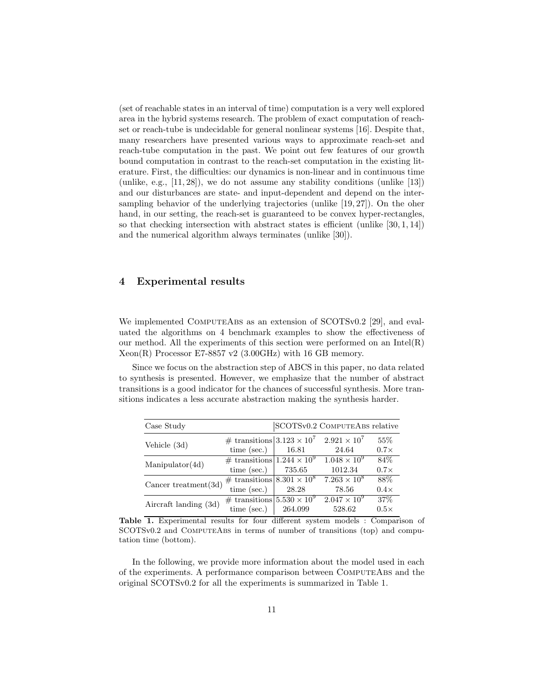(set of reachable states in an interval of time) computation is a very well explored area in the hybrid systems research. The problem of exact computation of reachset or reach-tube is undecidable for general nonlinear systems [16]. Despite that, many researchers have presented various ways to approximate reach-set and reach-tube computation in the past. We point out few features of our growth bound computation in contrast to the reach-set computation in the existing literature. First, the difficulties: our dynamics is non-linear and in continuous time (unlike, e.g., [11, 28]), we do not assume any stability conditions (unlike [13]) and our disturbances are state- and input-dependent and depend on the intersampling behavior of the underlying trajectories (unlike [19, 27]). On the oher hand, in our setting, the reach-set is guaranteed to be convex hyper-rectangles, so that checking intersection with abstract states is efficient (unlike [30, 1, 14]) and the numerical algorithm always terminates (unlike [30]).

# 4 Experimental results

We implemented COMPUTEABS as an extension of SCOTSv0.2 [29], and evaluated the algorithms on 4 benchmark examples to show the effectiveness of our method. All the experiments of this section were performed on an Intel $(R)$ Xeon(R) Processor E7-8857 v2 (3.00GHz) with 16 GB memory.

Since we focus on the abstraction step of ABCS in this paper, no data related to synthesis is presented. However, we emphasize that the number of abstract transitions is a good indicator for the chances of successful synthesis. More transitions indicates a less accurate abstraction making the synthesis harder.

| Case Study               |                                   |         | SCOTSv0.2 COMPUTEABS relative |             |
|--------------------------|-----------------------------------|---------|-------------------------------|-------------|
| Vehicle (3d)             | # transitions $3.123 \times 10^7$ |         | $2.921 \times 10^{7}$         | 55%         |
|                          | time $(\sec.)$                    | 16.81   | 24.64                         | $0.7\times$ |
| $\text{Manipulator}(4d)$ | # transitions $1.244 \times 10^9$ |         | $1.048 \times 10^{9}$         | 84%         |
|                          | time $(\sec.)$                    | 735.65  | 1012.34                       | $0.7\times$ |
| Cancer treatment $(3d)$  | # transitions $8.301 \times 10^8$ |         | $7.263 \times 10^{8}$         | 88%         |
|                          | time $(sec.)$                     | 28.28   | 78.56                         | $0.4\times$ |
| Aircraft landing (3d)    | # transitions $5.530 \times 10^9$ |         | $2.047 \times 10^{9}$         | 37%         |
|                          | time $(\sec.)$                    | 264.099 | 528.62                        | $0.5\times$ |

Table 1. Experimental results for four different system models : Comparison of SCOTSv0.2 and ComputeAbs in terms of number of transitions (top) and computation time (bottom).

In the following, we provide more information about the model used in each of the experiments. A performance comparison between ComputeAbs and the original SCOTSv0.2 for all the experiments is summarized in Table 1.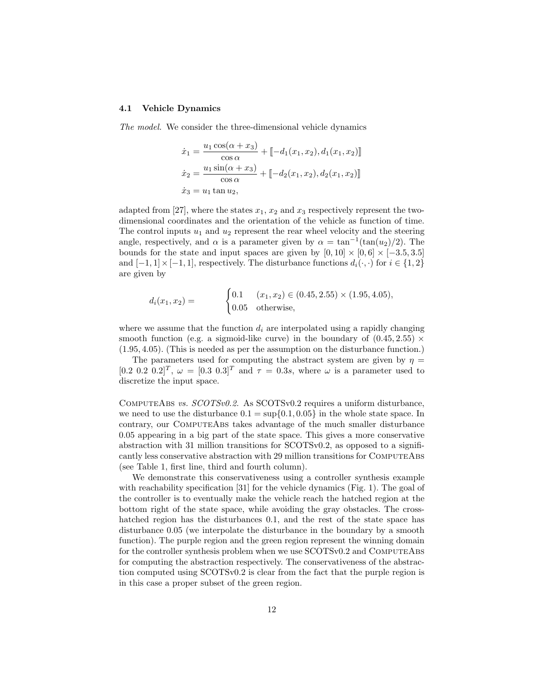#### 4.1 Vehicle Dynamics

The model. We consider the three-dimensional vehicle dynamics

$$
\dot{x}_1 = \frac{u_1 \cos(\alpha + x_3)}{\cos \alpha} + [-d_1(x_1, x_2), d_1(x_1, x_2)]]
$$
  
\n
$$
\dot{x}_2 = \frac{u_1 \sin(\alpha + x_3)}{\cos \alpha} + [-d_2(x_1, x_2), d_2(x_1, x_2)]]
$$
  
\n
$$
\dot{x}_3 = u_1 \tan u_2,
$$

adapted from [27], where the states  $x_1, x_2$  and  $x_3$  respectively represent the twodimensional coordinates and the orientation of the vehicle as function of time. The control inputs  $u_1$  and  $u_2$  represent the rear wheel velocity and the steering angle, respectively, and  $\alpha$  is a parameter given by  $\alpha = \tan^{-1}(\tan(u_2)/2)$ . The bounds for the state and input spaces are given by  $[0, 10] \times [0, 6] \times [-3.5, 3.5]$ and  $[-1, 1] \times [-1, 1]$ , respectively. The disturbance functions  $d_i(\cdot, \cdot)$  for  $i \in \{1, 2\}$ are given by

$$
d_i(x_1, x_2) = \begin{cases} 0.1 & (x_1, x_2) \in (0.45, 2.55) \times (1.95, 4.05), \\ 0.05 & \text{otherwise}, \end{cases}
$$

where we assume that the function  $d_i$  are interpolated using a rapidly changing smooth function (e.g. a sigmoid-like curve) in the boundary of  $(0.45, 2.55) \times$ (1.95, 4.05). (This is needed as per the assumption on the disturbance function.)

The parameters used for computing the abstract system are given by  $\eta =$  $[0.2 \ 0.2 \ 0.2]^T$ ,  $\omega = [0.3 \ 0.3]^T$  and  $\tau = 0.3s$ , where  $\omega$  is a parameter used to discretize the input space.

ComputeAbs vs. SCOTSv0.2. As SCOTSv0.2 requires a uniform disturbance, we need to use the disturbance  $0.1 = \sup\{0.1, 0.05\}$  in the whole state space. In contrary, our ComputeAbs takes advantage of the much smaller disturbance 0.05 appearing in a big part of the state space. This gives a more conservative abstraction with 31 million transitions for SCOTSv0.2, as opposed to a significantly less conservative abstraction with 29 million transitions for COMPUTEABS (see Table 1, first line, third and fourth column).

We demonstrate this conservativeness using a controller synthesis example with reachability specification [31] for the vehicle dynamics (Fig. 1). The goal of the controller is to eventually make the vehicle reach the hatched region at the bottom right of the state space, while avoiding the gray obstacles. The crosshatched region has the disturbances 0.1, and the rest of the state space has disturbance 0.05 (we interpolate the disturbance in the boundary by a smooth function). The purple region and the green region represent the winning domain for the controller synthesis problem when we use  $SCOTSv0.2$  and COMPUTEABS for computing the abstraction respectively. The conservativeness of the abstraction computed using SCOTSv0.2 is clear from the fact that the purple region is in this case a proper subset of the green region.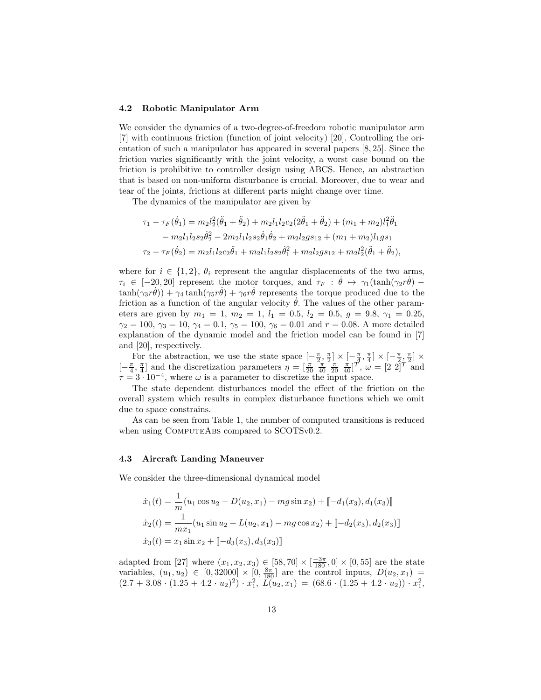### 4.2 Robotic Manipulator Arm

We consider the dynamics of a two-degree-of-freedom robotic manipulator arm [7] with continuous friction (function of joint velocity) [20]. Controlling the orientation of such a manipulator has appeared in several papers [8, 25]. Since the friction varies significantly with the joint velocity, a worst case bound on the friction is prohibitive to controller design using ABCS. Hence, an abstraction that is based on non-uniform disturbance is crucial. Moreover, due to wear and tear of the joints, frictions at different parts might change over time.

The dynamics of the manipulator are given by

$$
\tau_1 - \tau_F(\dot{\theta}_1) = m_2 l_2^2 (\ddot{\theta}_1 + \ddot{\theta}_2) + m_2 l_1 l_2 c_2 (2 \ddot{\theta}_1 + \ddot{\theta}_2) + (m_1 + m_2) l_1^2 \ddot{\theta}_1 - m_2 l_1 l_2 s_2 \dot{\theta}_2^2 - 2 m_2 l_1 l_2 s_2 \dot{\theta}_1 \dot{\theta}_2 + m_2 l_2 g s_{12} + (m_1 + m_2) l_1 g s_1 \tau_2 - \tau_F(\dot{\theta}_2) = m_2 l_1 l_2 c_2 \ddot{\theta}_1 + m_2 l_1 l_2 s_2 \dot{\theta}_1^2 + m_2 l_2 g s_{12} + m_2 l_2^2 (\ddot{\theta}_1 + \ddot{\theta}_2),
$$

where for  $i \in \{1,2\}, \theta_i$  represent the angular displacements of the two arms,  $\tau_i \in [-20, 20]$  represent the motor torques, and  $\tau_F : \dot{\theta} \mapsto \gamma_1(\tanh(\gamma_2 r\dot{\theta}) \tanh(\gamma_3 r\dot{\theta}) + \gamma_4 \tanh(\gamma_5 r\dot{\theta}) + \gamma_6 r\dot{\theta}$  represents the torque produced due to the friction as a function of the angular velocity  $\theta$ . The values of the other parameters are given by  $m_1 = 1$ ,  $m_2 = 1$ ,  $l_1 = 0.5$ ,  $l_2 = 0.5$ ,  $g = 9.8$ ,  $\gamma_1 = 0.25$ ,  $\gamma_2 = 100, \gamma_3 = 10, \gamma_4 = 0.1, \gamma_5 = 100, \gamma_6 = 0.01 \text{ and } r = 0.08. \text{ A more detailed}$ explanation of the dynamic model and the friction model can be found in [7] and [20], respectively.

For the abstraction, we use the state space  $\left[-\frac{\pi}{2},\frac{\pi}{2}\right] \times \left[-\frac{\pi}{4},\frac{\pi}{4}\right] \times \left[-\frac{\pi}{2},\frac{\pi}{2}\right] \times$  $[-\frac{\pi}{4}, \frac{\pi}{4}]$  and the discretization parameters  $\eta = [\frac{\pi}{20} \frac{\pi}{40} \frac{\pi}{20} \frac{\pi}{40}]^T$ ,  $\omega = [2 \ 2]^T$  and  $\tau = 3 \cdot 10^{-4}$ , where  $\omega$  is a parameter to discretize the input space.

The state dependent disturbances model the effect of the friction on the overall system which results in complex disturbance functions which we omit due to space constrains.

As can be seen from Table 1, the number of computed transitions is reduced when using COMPUTEABS compared to SCOTSv0.2.

### 4.3 Aircraft Landing Maneuver

We consider the three-dimensional dynamical model

$$
\begin{aligned}\n\dot{x}_1(t) &= \frac{1}{m}(u_1 \cos u_2 - D(u_2, x_1) - mg \sin x_2) + \left[-d_1(x_3), d_1(x_3)\right] \\
\dot{x}_2(t) &= \frac{1}{mx_1}(u_1 \sin u_2 + L(u_2, x_1) - mg \cos x_2) + \left[-d_2(x_3), d_2(x_3)\right] \\
\dot{x}_3(t) &= x_1 \sin x_2 + \left[-d_3(x_3), d_3(x_3)\right]\n\end{aligned}
$$

adapted from [27] where  $(x_1, x_2, x_3) \in [58, 70] \times [-\frac{3\pi}{180}, 0] \times [0, 55]$  are the state variables,  $(u_1, u_2) \in [0, 32000] \times [0, \frac{8\pi}{180}]$  are the control inputs,  $D(u_2, x_1) =$  $(2.7 + 3.08 \cdot (1.25 + 4.2 \cdot u_2)^2) \cdot x_1^2$ ,  $\widetilde{L}(u_2, x_1) = (68.6 \cdot (1.25 + 4.2 \cdot u_2)) \cdot x_1^2$ ,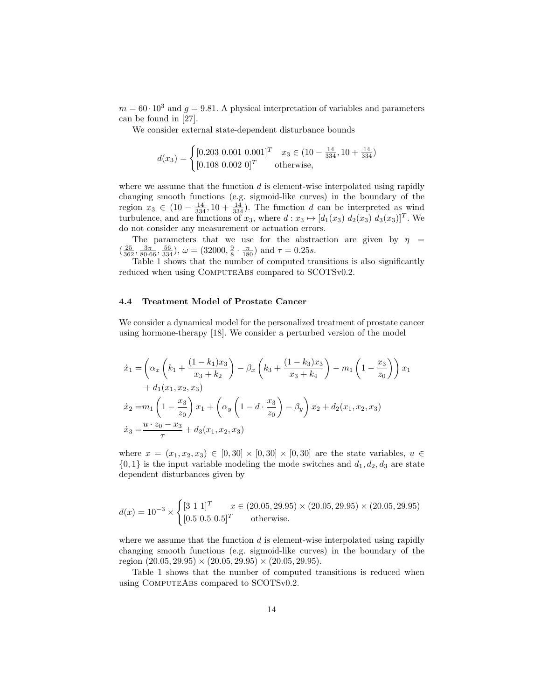$m = 60 \cdot 10^3$  and  $q = 9.81$ . A physical interpretation of variables and parameters can be found in [27].

We consider external state-dependent disturbance bounds

$$
d(x_3) = \begin{cases} [0.203 \ 0.001 \ 0.001]^T & x_3 \in (10 - \frac{14}{334}, 10 + \frac{14}{334}) \\ [0.108 \ 0.002 \ 0]^T & \text{otherwise,} \end{cases}
$$

where we assume that the function  $d$  is element-wise interpolated using rapidly changing smooth functions (e.g. sigmoid-like curves) in the boundary of the region  $x_3 \in (10 - \frac{14}{334}, 10 + \frac{14}{334})$ . The function d can be interpreted as wind turbulence, and are functions of  $x_3$ , where  $d: x_3 \mapsto [d_1(x_3) \ d_2(x_3) \ d_3(x_3)]^T$ . We do not consider any measurement or actuation errors.

The parameters that we use for the abstraction are given by  $\eta =$  $\left(\frac{25}{362}, \frac{3\pi}{80.66}, \frac{56}{334}\right)$ ,  $\omega = (32000, \frac{9}{8} \cdot \frac{\pi}{180})$  and  $\tau = 0.25s$ .

Table 1 shows that the number of computed transitions is also significantly reduced when using COMPUTEABS compared to SCOTSv0.2.

### 4.4 Treatment Model of Prostate Cancer

We consider a dynamical model for the personalized treatment of prostate cancer using hormone-therapy [18]. We consider a perturbed version of the model

$$
\begin{aligned}\n\dot{x}_1 &= \left( \alpha_x \left( k_1 + \frac{(1 - k_1)x_3}{x_3 + k_2} \right) - \beta_x \left( k_3 + \frac{(1 - k_3)x_3}{x_3 + k_4} \right) - m_1 \left( 1 - \frac{x_3}{z_0} \right) \right) x_1 \\
&+ d_1(x_1, x_2, x_3) \\
\dot{x}_2 &= m_1 \left( 1 - \frac{x_3}{z_0} \right) x_1 + \left( \alpha_y \left( 1 - d \cdot \frac{x_3}{z_0} \right) - \beta_y \right) x_2 + d_2(x_1, x_2, x_3) \\
\dot{x}_3 &= \frac{u \cdot z_0 - x_3}{\tau} + d_3(x_1, x_2, x_3)\n\end{aligned}
$$

where  $x = (x_1, x_2, x_3) \in [0, 30] \times [0, 30] \times [0, 30]$  are the state variables,  $u \in$  $\{0, 1\}$  is the input variable modeling the mode switches and  $d_1, d_2, d_3$  are state dependent disturbances given by

$$
d(x) = 10^{-3} \times \begin{cases} [3 \ 1 \ 1]^T & x \in (20.05, 29.95) \times (20.05, 29.95) \times (20.05, 29.95) \\ [0.5 \ 0.5 \ 0.5]^T & \text{otherwise.} \end{cases}
$$

where we assume that the function  $d$  is element-wise interpolated using rapidly changing smooth functions (e.g. sigmoid-like curves) in the boundary of the region  $(20.05, 29.95) \times (20.05, 29.95) \times (20.05, 29.95)$ .

Table 1 shows that the number of computed transitions is reduced when using ComputeAbs compared to SCOTSv0.2.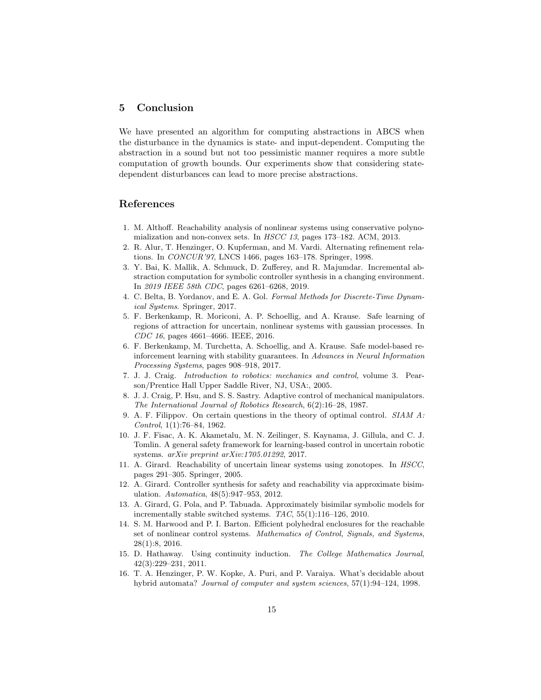# 5 Conclusion

We have presented an algorithm for computing abstractions in ABCS when the disturbance in the dynamics is state- and input-dependent. Computing the abstraction in a sound but not too pessimistic manner requires a more subtle computation of growth bounds. Our experiments show that considering statedependent disturbances can lead to more precise abstractions.

# References

- 1. M. Althoff. Reachability analysis of nonlinear systems using conservative polynomialization and non-convex sets. In HSCC 13, pages 173–182. ACM, 2013.
- 2. R. Alur, T. Henzinger, O. Kupferman, and M. Vardi. Alternating refinement relations. In CONCUR'97, LNCS 1466, pages 163–178. Springer, 1998.
- 3. Y. Bai, K. Mallik, A. Schmuck, D. Zufferey, and R. Majumdar. Incremental abstraction computation for symbolic controller synthesis in a changing environment. In 2019 IEEE 58th CDC, pages 6261–6268, 2019.
- 4. C. Belta, B. Yordanov, and E. A. Gol. Formal Methods for Discrete-Time Dynamical Systems. Springer, 2017.
- 5. F. Berkenkamp, R. Moriconi, A. P. Schoellig, and A. Krause. Safe learning of regions of attraction for uncertain, nonlinear systems with gaussian processes. In CDC 16, pages 4661–4666. IEEE, 2016.
- 6. F. Berkenkamp, M. Turchetta, A. Schoellig, and A. Krause. Safe model-based reinforcement learning with stability guarantees. In Advances in Neural Information Processing Systems, pages 908–918, 2017.
- 7. J. J. Craig. Introduction to robotics: mechanics and control, volume 3. Pearson/Prentice Hall Upper Saddle River, NJ, USA:, 2005.
- 8. J. J. Craig, P. Hsu, and S. S. Sastry. Adaptive control of mechanical manipulators. The International Journal of Robotics Research, 6(2):16–28, 1987.
- 9. A. F. Filippov. On certain questions in the theory of optimal control. SIAM A: Control, 1(1):76–84, 1962.
- 10. J. F. Fisac, A. K. Akametalu, M. N. Zeilinger, S. Kaynama, J. Gillula, and C. J. Tomlin. A general safety framework for learning-based control in uncertain robotic systems. arXiv preprint arXiv:1705.01292, 2017.
- 11. A. Girard. Reachability of uncertain linear systems using zonotopes. In HSCC, pages 291–305. Springer, 2005.
- 12. A. Girard. Controller synthesis for safety and reachability via approximate bisimulation. Automatica, 48(5):947–953, 2012.
- 13. A. Girard, G. Pola, and P. Tabuada. Approximately bisimilar symbolic models for incrementally stable switched systems.  $TAC$ ,  $55(1):116-126$ ,  $2010$ .
- 14. S. M. Harwood and P. I. Barton. Efficient polyhedral enclosures for the reachable set of nonlinear control systems. Mathematics of Control, Signals, and Systems, 28(1):8, 2016.
- 15. D. Hathaway. Using continuity induction. The College Mathematics Journal, 42(3):229–231, 2011.
- 16. T. A. Henzinger, P. W. Kopke, A. Puri, and P. Varaiya. What's decidable about hybrid automata? *Journal of computer and system sciences*,  $57(1):94-124$ , 1998.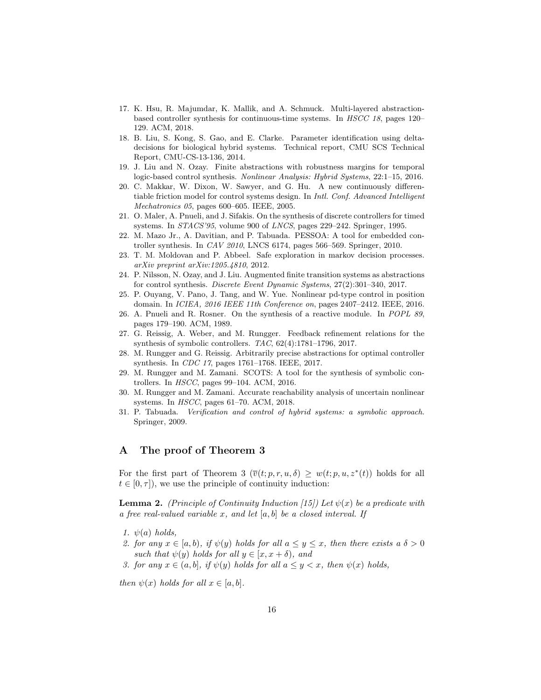- 17. K. Hsu, R. Majumdar, K. Mallik, and A. Schmuck. Multi-layered abstractionbased controller synthesis for continuous-time systems. In HSCC 18, pages 120– 129. ACM, 2018.
- 18. B. Liu, S. Kong, S. Gao, and E. Clarke. Parameter identification using deltadecisions for biological hybrid systems. Technical report, CMU SCS Technical Report, CMU-CS-13-136, 2014.
- 19. J. Liu and N. Ozay. Finite abstractions with robustness margins for temporal logic-based control synthesis. Nonlinear Analysis: Hybrid Systems, 22:1–15, 2016.
- 20. C. Makkar, W. Dixon, W. Sawyer, and G. Hu. A new continuously differentiable friction model for control systems design. In Intl. Conf. Advanced Intelligent Mechatronics 05, pages 600–605. IEEE, 2005.
- 21. O. Maler, A. Pnueli, and J. Sifakis. On the synthesis of discrete controllers for timed systems. In STACS'95, volume 900 of LNCS, pages 229–242. Springer, 1995.
- 22. M. Mazo Jr., A. Davitian, and P. Tabuada. PESSOA: A tool for embedded controller synthesis. In CAV 2010, LNCS 6174, pages 566–569. Springer, 2010.
- 23. T. M. Moldovan and P. Abbeel. Safe exploration in markov decision processes. arXiv preprint arXiv:1205.4810, 2012.
- 24. P. Nilsson, N. Ozay, and J. Liu. Augmented finite transition systems as abstractions for control synthesis. Discrete Event Dynamic Systems, 27(2):301–340, 2017.
- 25. P. Ouyang, V. Pano, J. Tang, and W. Yue. Nonlinear pd-type control in position domain. In ICIEA, 2016 IEEE 11th Conference on, pages 2407–2412. IEEE, 2016.
- 26. A. Pnueli and R. Rosner. On the synthesis of a reactive module. In POPL 89, pages 179–190. ACM, 1989.
- 27. G. Reissig, A. Weber, and M. Rungger. Feedback refinement relations for the synthesis of symbolic controllers. TAC, 62(4):1781–1796, 2017.
- 28. M. Rungger and G. Reissig. Arbitrarily precise abstractions for optimal controller synthesis. In CDC 17, pages 1761–1768. IEEE, 2017.
- 29. M. Rungger and M. Zamani. SCOTS: A tool for the synthesis of symbolic controllers. In HSCC, pages 99–104. ACM, 2016.
- 30. M. Rungger and M. Zamani. Accurate reachability analysis of uncertain nonlinear systems. In HSCC, pages 61–70. ACM, 2018.
- 31. P. Tabuada. Verification and control of hybrid systems: a symbolic approach. Springer, 2009.

# A The proof of Theorem 3

For the first part of Theorem 3  $(\overline{v}(t; p, r, u, \delta) \geq w(t; p, u, z^*(t))$  holds for all  $t \in [0, \tau]$ , we use the principle of continuity induction:

**Lemma 2.** (Principle of Continuity Induction [15]) Let  $\psi(x)$  be a predicate with a free real-valued variable x, and let  $[a, b]$  be a closed interval. If

- 1.  $\psi(a)$  holds,
- 2. for any  $x \in [a, b)$ , if  $\psi(y)$  holds for all  $a \le y \le x$ , then there exists  $a \delta > 0$ such that  $\psi(y)$  holds for all  $y \in [x, x + \delta)$ , and
- 3. for any  $x \in (a, b]$ , if  $\psi(y)$  holds for all  $a \leq y < x$ , then  $\psi(x)$  holds,

then  $\psi(x)$  holds for all  $x \in [a, b]$ .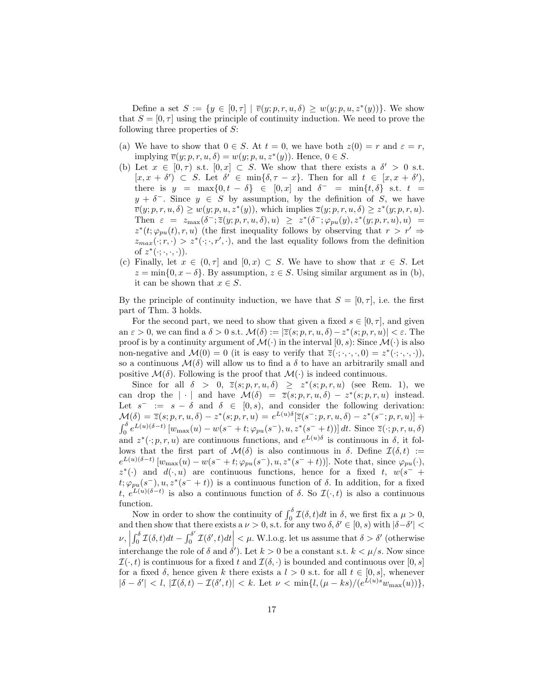Define a set  $S := \{y \in [0, \tau] \mid \overline{v}(y; p, r, u, \delta) \geq w(y; p, u, z^*(y))\}$ . We show that  $S = [0, \tau]$  using the principle of continuity induction. We need to prove the following three properties of  $S$ :

- (a) We have to show that  $0 \in S$ . At  $t = 0$ , we have both  $z(0) = r$  and  $\varepsilon = r$ , implying  $\overline{v}(y; p, r, u, \delta) = w(y; p, u, z^*(y))$ . Hence,  $0 \in S$ .
- (b) Let  $x \in [0, \tau)$  s.t.  $[0, x] \subset S$ . We show that there exists a  $\delta' > 0$  s.t.  $[x, x + \delta'] \subset S$ . Let  $\delta' \in \min{\delta, \tau - x}$ . Then for all  $t \in [x, x + \delta']$ , there is  $y = \max\{0, t - \delta\} \in [0, x]$  and  $\delta^- = \min\{t, \delta\}$  s.t.  $t =$  $y + \delta^-$ . Since  $y \in S$  by assumption, by the definition of S, we have  $\overline{v}(y; p, r, u, \delta) \geq w(y; p, u, z^*(y))$ , which implies  $\overline{z}(y; p, r, u, \delta) \geq z^*(y; p, r, u)$ . Then  $\varepsilon = z_{\text{max}}(\delta^-; \overline{z}(y; p, r, u, \delta), u) \geq z^*(\delta^-; \varphi_{pu}(y), z^*(y; p, r, u), u) =$  $z^*(t; \varphi_{pu}(t), r, u)$  (the first inequality follows by observing that  $r > r' \Rightarrow$  $z_{max}(\cdot;r,\cdot) > z^*(\cdot;\cdot,r',\cdot)$ , and the last equality follows from the definition of  $z^*(\cdot; \cdot, \cdot, \cdot)$ ).
- (c) Finally, let  $x \in (0, \tau]$  and  $[0, x) \subset S$ . We have to show that  $x \in S$ . Let  $z = \min\{0, x - \delta\}.$  By assumption,  $z \in S$ . Using similar argument as in (b), it can be shown that  $x \in S$ .

By the principle of continuity induction, we have that  $S = [0, \tau]$ , i.e. the first part of Thm. 3 holds.

For the second part, we need to show that given a fixed  $s \in [0, \tau]$ , and given an  $\varepsilon > 0$ , we can find a  $\delta > 0$  s.t.  $\mathcal{M}(\delta) := |\overline{z}(s; p, r, u, \delta) - z^*(s; p, r, u)| < \varepsilon$ . The proof is by a continuity argument of  $\mathcal{M}(\cdot)$  in the interval  $[0, s)$ : Since  $\mathcal{M}(\cdot)$  is also non-negative and  $\mathcal{M}(0) = 0$  (it is easy to verify that  $\overline{z}(\cdot; \cdot, \cdot, \cdot, 0) = z^*(\cdot; \cdot, \cdot, \cdot)$ ), so a continuous  $\mathcal{M}(\delta)$  will allow us to find a  $\delta$  to have an arbitrarily small and positive  $\mathcal{M}(\delta)$ . Following is the proof that  $\mathcal{M}(\cdot)$  is indeed continuous.

Since for all  $\delta > 0$ ,  $\overline{z}(s; p, r, u, \delta) \geq z^*(s; p, r, u)$  (see Rem. 1), we can drop the  $|\cdot|$  and have  $\mathcal{M}(\delta) = \overline{z}(s; p, r, u, \delta) - z^*(s; p, r, u)$  instead. Let  $s^- := s - \delta$  and  $\delta \in [0, s)$ , and consider the following derivation:  $\mathcal{M}(\delta)=\overline{z}(s;p,r,u,\delta)-z^*(s;p,r,u)=e^{L(u)\delta}[\overline{z}(s^-;p,r,u,\delta)-z^*(s^-;p,r,u)]+$  $\int_0^{\delta} e^{L(u)(\delta-t)} [w_{\max}(u) - w(s^- + t; \varphi_{pu}(s^-), u, z^*(s^- + t))] dt$ . Since  $\overline{z}(\cdot; p, r, u, \delta)$ and  $z^*(\cdot; p, r, u)$  are continuous functions, and  $e^{L(u)\delta}$  is continuous in  $\delta$ , it follows that the first part of  $\mathcal{M}(\delta)$  is also continuous in  $\delta$ . Define  $\mathcal{I}(\delta, t) :=$  $e^{L(u)(\delta-t)} \left[ w_{\max}(u) - w(s^- + t; \varphi_{pu}(s^-), u, z^*(s^- + t)) \right]$ . Note that, since  $\varphi_{pu}(\cdot)$ ,  $z^*(\cdot)$  and  $d(\cdot, u)$  are continuous functions, hence for a fixed t,  $w(s^- +$  $t; \varphi_{pu}(s^-), u, z^*(s^- + t)$  is a continuous function of  $\delta$ . In addition, for a fixed t,  $e^{L(u)(\delta-t)}$  is also a continuous function of  $\delta$ . So  $\mathcal{I}(\cdot,t)$  is also a continuous function.

Now in order to show the continuity of  $\int_0^{\delta} \mathcal{I}(\delta, t) dt$  in  $\delta$ , we first fix a  $\mu > 0$ , and then show that there exists a  $\nu > 0$ , s.t. for any two  $\delta, \delta' \in [0, s)$  with  $|\delta - \delta'| <$  $\nu, \left| \int_0^\delta \mathcal{I}(\delta, t) dt - \int_0^{\delta'}$ interchange the role of  $\delta$  and  $\delta'$ ). Let  $k > 0$  be a constant s.t.  $k < \mu/s$ . Now since  $\left|\frac{\delta}{\delta} \mathcal{I}(\delta',t)dt\right| < \mu$ . W.l.o.g. let us assume that  $\delta > \delta'$  (otherwise  $\mathcal{I}(\cdot,t)$  is continuous for a fixed t and  $\mathcal{I}(\delta,\cdot)$  is bounded and continuous over  $[0,s]$ for a fixed  $\delta$ , hence given k there exists a  $l > 0$  s.t. for all  $t \in [0, s]$ , whenever  $|\delta - \delta'| < l, \ |\mathcal{I}(\delta, t) - \mathcal{I}(\delta', t)| < k. \ \text{Let } \nu < \min\{l, (\mu - ks)/(e^{L(u)s}w_{\max}(u))\},\$